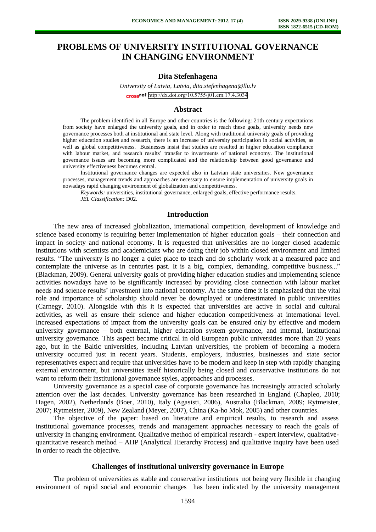# **PROBLEMS OF UNIVERSITY INSTITUTIONAL GOVERNANCE IN CHANGING ENVIRONMENT**

## **Dita Stefenhagena**

*University of Latvia, Latvia, dita.stefenhagena@llu.lv*  cross<sup>ref</sup> <http://dx.doi.org/10.5755/j01.em.17.4.3034>

#### **Abstract**

The problem identified in all Europe and other countries is the following: 21th century expectations from society have enlarged the university goals, and in order to reach these goals, university needs new governance processes both at institutional and state level. Along with traditional university goals of providing higher education studies and research, there is an increase of university participation in social activities, as well as global competitiveness. Businesses insist that studies are resulted in higher education compliance with labour market, and research results' transfer to investments of national economy. The institutional governance issues are becoming more complicated and the relationship between good governance and university effectiveness becomes central.

Institutional governance changes are expected also in Latvian state universities. New governance processes, management trends and approaches are necessary to ensure implementation of university goals in nowadays rapid changing environment of globalization and competitiveness.

*Keywords:* universities, institutional governance, enlarged goals, effective performance results. *JEL Classification:* D02.

#### **Introduction**

The new area of increased globalization, international competition, development of knowledge and science based economy is requiring better implementation of higher education goals – their connection and impact in society and national economy. It is requested that universities are no longer closed academic institutions with scientists and academicians who are doing their job within closed environment and limited results. "The university is no longer a quiet place to teach and do scholarly work at a measured pace and contemplate the universe as in centuries past. It is a big, complex, demanding, competitive business..." (Blackman, 2009). General university goals of providing higher education studies and implementing science activities nowadays have to be significantly increased by providing close connection with labour market needs and science results' investment into national economy. At the same time it is emphasized that the vital role and importance of scholarship should never be downplayed or underestimated in public universities (Carnegy, 2010). Alongside with this it is expected that universities are active in social and cultural activities, as well as ensure their science and higher education competitiveness at international level. Increased expectations of impact from the university goals can be ensured only by effective and modern university governance – both external, higher education system governance, and internal, institutional university governance. This aspect became critical in old European public universities more than 20 years ago, but in the Baltic universities, including Latvian universities, the problem of becoming a modern university occurred just in recent years. Students, employers, industries, businesses and state sector representatives expect and require that universities have to be modern and keep in step with rapidly changing external environment, but universities itself historically being closed and conservative institutions do not want to reform their institutional governance styles, approaches and processes.

University governance as a special case of corporate governance has increasingly attracted scholarly attention over the last decades. University governance has been researched in England (Chapleo, 2010; Hagen, 2002), Netherlands (Boer, 2010), Italy (Agasisti, 2006), Australia (Blackman, 2009; Rytmeister, 2007; Rytmeister, 2009), New Zealand (Meyer, 2007), China (Ka-ho Mok, 2005) and other countries.

The objective of the paper: based on literature and empirical results, to research and assess institutional governance processes, trends and management approaches necessary to reach the goals of university in changing environment. Qualitative method of empirical research - expert interview, qualitativequantitative research method – AHP (Analytical Hierarchy Process) and qualitative inquiry have been used in order to reach the objective.

### **Challenges of institutional university governance in Europe**

The problem of universities as stable and conservative institutions not being very flexible in changing environment of rapid social and economic changes has been indicated by the university management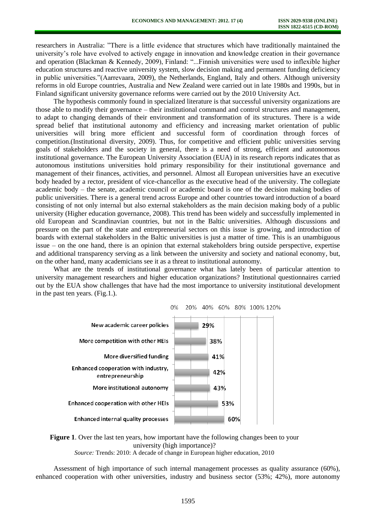researchers in Australia: "There is a little evidence that structures which have traditionally maintained the university's role have evolved to actively engage in innovation and knowledge creation in their governance and operation (Blackman & Kennedy, 2009), Finland: "...Finnish universities were used to inflexible higher education structures and reactive university system, slow decision making and permanent funding deficiency in public universities."(Aarrevaara, 2009), the Netherlands, England, Italy and others. Although university reforms in old Europe countries, Australia and New Zealand were carried out in late 1980s and 1990s, but in Finland significant university governance reforms were carried out by the 2010 University Act.

The hypothesis commonly found in specialized literature is that successful university organizations are those able to modify their governance – their institutional command and control structures and management, to adapt to changing demands of their environment and transformation of its structures. There is a wide spread belief that institutional autonomy and efficiency and increasing market orientation of public universities will bring more efficient and successful form of coordination through forces of competition.(Institutional diversity, 2009). Thus, for competitive and efficient public universities serving goals of stakeholders and the society in general, there is a need of strong, efficient and autonomous institutional governance. The European University Association (EUA) in its research reports indicates that as autonomous institutions universities hold primary responsibility for their institutional governance and management of their finances, activities, and personnel. Almost all European universities have an executive body headed by a rector, president of vice-chancellor as the executive head of the university. The collegiate academic body – the senate, academic council or academic board is one of the decision making bodies of public universities. There is a general trend across Europe and other countries toward introduction of a board consisting of not only internal but also external stakeholders as the main decision making body of a public university (Higher education governance, 2008). This trend has been widely and successfully implemented in old European and Scandinavian countries, but not in the Baltic universities. Although discussions and pressure on the part of the state and entrepreneurial sectors on this issue is growing, and introduction of boards with external stakeholders in the Baltic universities is just a matter of time. This is an unambiguous issue – on the one hand, there is an opinion that external stakeholders bring outside perspective, expertise and additional transparency serving as a link between the university and society and national economy, but, on the other hand, many academicians see it as a threat to institutional autonomy.

What are the trends of institutional governance what has lately been of particular attention to university management researchers and higher education organizations? Institutional questionnaires carried out by the EUA show challenges that have had the most importance to university institutional development in the past ten years. (Fig.1.).





Assessment of high importance of such internal management processes as quality assurance (60%), enhanced cooperation with other universities, industry and business sector (53%; 42%), more autonomy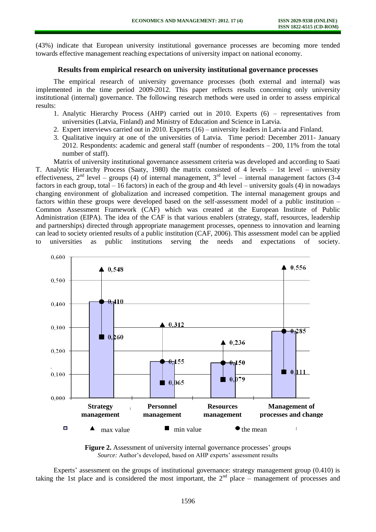(43%) indicate that European university institutional governance processes are becoming more tended towards effective management reaching expectations of university impact on national economy.

## **Results from empirical research on university institutional governance processes**

The empirical research of university governance processes (both external and internal) was implemented in the time period 2009-2012. This paper reflects results concerning only university institutional (internal) governance. The following research methods were used in order to assess empirical results:

- 1. Analytic Hierarchy Process (AHP) carried out in 2010. Experts (6) representatives from universities (Latvia, Finland) and Ministry of Education and Science in Latvia.
- 2. Expert interviews carried out in 2010. Experts (16) university leaders in Latvia and Finland.
- 3. Qualitative inquiry at one of the universities of Latvia. Time period: December 2011- January 2012. Respondents: academic and general staff (number of respondents – 200, 11% from the total number of staff).

Matrix of university institutional governance assessment criteria was developed and according to Saati T. Analytic Hierarchy Process (Saaty, 1980) the matrix consisted of 4 levels – 1st level – university effectiveness,  $2<sup>nd</sup>$  level – groups (4) of internal management,  $3<sup>rd</sup>$  level – internal management factors (3-4) factors in each group, total – 16 factors) in each of the group and 4th level – university goals (4) in nowadays changing environment of globalization and increased competition. The internal management groups and factors within these groups were developed based on the self-assessment model of a public institution – Common Assessment Framework (CAF) which was created at the European Institute of Public Administration (EIPA). The idea of the CAF is that various enablers (strategy, staff, resources, leadership and partnerships) directed through appropriate management processes, openness to innovation and learning can lead to society oriented results of a public institution (CAF, 2006). This assessment model can be applied to universities as public institutions serving the needs and expectations of society.



**Figure 2.** Assessment of university internal governance processes' groups *Source:* Author's developed, based on AHP experts' assessment results

Experts' assessment on the groups of institutional governance: strategy management group (0.410) is taking the 1st place and is considered the most important, the  $2<sup>nd</sup>$  place – management of processes and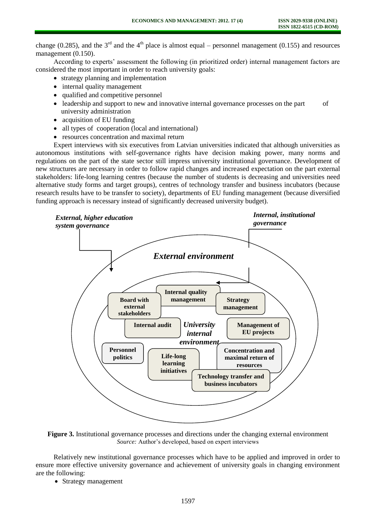change (0.285), and the 3<sup>rd</sup> and the 4<sup>th</sup> place is almost equal – personnel management (0.155) and resources management (0.150).

According to experts' assessment the following (in prioritized order) internal management factors are considered the most important in order to reach university goals:

- strategy planning and implementation
- internal quality management
- qualified and competitive personnel
- leadership and support to new and innovative internal governance processes on the part of university administration
- acquisition of EU funding
- all types of cooperation (local and international)
- resources concentration and maximal return

Expert interviews with six executives from Latvian universities indicated that although universities as autonomous institutions with self-governance rights have decision making power, many norms and regulations on the part of the state sector still impress university institutional governance. Development of new structures are necessary in order to follow rapid changes and increased expectation on the part external stakeholders: life-long learning centres (because the number of students is decreasing and universities need alternative study forms and target groups), centres of technology transfer and business incubators (because research results have to be transfer to society), departments of EU funding management (because diversified funding approach is necessary instead of significantly decreased university budget).



**Figure 3.** Institutional governance processes and directions under the changing external environment *Source:* Author's developed, based on expert interviews

Relatively new institutional governance processes which have to be applied and improved in order to ensure more effective university governance and achievement of university goals in changing environment are the following:

• Strategy management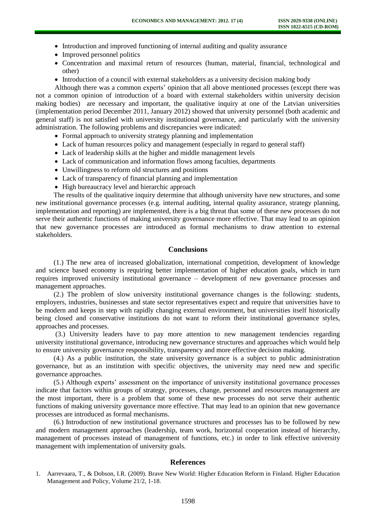- Introduction and improved functioning of internal auditing and quality assurance
- Improved personnel politics
- Concentration and maximal return of resources (human, material, financial, technological and other)
- Introduction of a council with external stakeholders as a university decision making body

Although there was a common experts' opinion that all above mentioned processes (except there was not a common opinion of introduction of a board with external stakeholders within university decision making bodies) are necessary and important, the qualitative inquiry at one of the Latvian universities (implementation period December 2011, January 2012) showed that university personnel (both academic and general staff) is not satisfied with university institutional governance, and particularly with the university administration. The following problems and discrepancies were indicated:

- Formal approach to university strategy planning and implementation
- Lack of human resources policy and management (especially in regard to general staff)
- Lack of leadership skills at the higher and middle management levels
- Lack of communication and information flows among faculties, departments
- Unwillingness to reform old structures and positions
- Lack of transparency of financial planning and implementation
- High bureaucracy level and hierarchic approach

The results of the qualitative inquiry determine that although university have new structures, and some new institutional governance processes (e.g. internal auditing, internal quality assurance, strategy planning, implementation and reporting) are implemented, there is a big threat that some of these new processes do not serve their authentic functions of making university governance more effective. That may lead to an opinion that new governance processes are introduced as formal mechanisms to draw attention to external stakeholders.

# **Conclusions**

(1.) The new area of increased globalization, international competition, development of knowledge and science based economy is requiring better implementation of higher education goals, which in turn requires improved university institutional governance – development of new governance processes and management approaches.

(2.) The problem of slow university institutional governance changes is the following: students, employers, industries, businesses and state sector representatives expect and require that universities have to be modern and keeps in step with rapidly changing external environment, but universities itself historically being closed and conservative institutions do not want to reform their institutional governance styles, approaches and processes.

(3.) University leaders have to pay more attention to new management tendencies regarding university institutional governance, introducing new governance structures and approaches which would help to ensure university governance responsibility, transparency and more effective decision making.

(4.) As a public institution, the state university governance is a subject to public administration governance, but as an institution with specific objectives, the university may need new and specific governance approaches.

(5.) Although experts' assessment on the importance of university institutional governance processes indicate that factors within groups of strategy, processes, change, personnel and resources management are the most important, there is a problem that some of these new processes do not serve their authentic functions of making university governance more effective. That may lead to an opinion that new governance processes are introduced as formal mechanisms.

(6.) Introduction of new institutional governance structures and processes has to be followed by new and modern management approaches (leadership, team work, horizontal cooperation instead of hierarchy, management of processes instead of management of functions, etc.) in order to link effective university management with implementation of university goals.

### **References**

<sup>1.</sup> Aarrevaara, T., & Dobson, I.R. (2009). Brave New World: Higher Education Reform in Finland. Higher Education Management and Policy, Volume 21/2, 1-18.